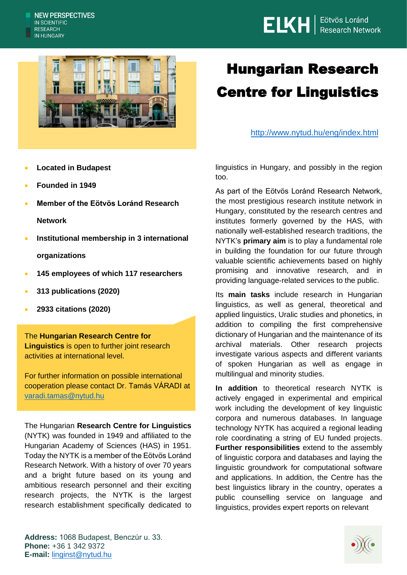



## Hungarian Research Centre for Linguistics

<http://www.nytud.hu/eng/index.html>

- **Located in Budapest**
- **Founded in 1949**
- **Member of the Eötvös Loránd Research Network**
- **Institutional membership in 3 international organizations**
- **145 employees of which 117 researchers**
- **313 publications (2020)**
- **2933 citations (2020)**

The **Hungarian Research Centre for Linguistics** is open to further joint research activities at international level.

For further information on possible international cooperation please contact Dr. Tamás VÁRADI at [varadi.tamas@nytud.hu](mailto:varadi.tamas@nytud.hu)

The Hungarian **Research Centre for Linguistics** (NYTK) was founded in 1949 and affiliated to the Hungarian Academy of Sciences (HAS) in 1951. Today the NYTK is a member of the Eötvös Loránd Research Network. With a history of over 70 years and a bright future based on its young and ambitious research personnel and their exciting research projects, the NYTK is the largest research establishment specifically dedicated to linguistics in Hungary, and possibly in the region too.

As part of the Eötvös Loránd Research Network, the most prestigious research institute network in Hungary, constituted by the research centres and institutes formerly governed by the HAS, with nationally well-established research traditions, the NYTK's **primary aim** is to play a fundamental role in building the foundation for our future through valuable scientific achievements based on highly promising and innovative research, and in providing language-related services to the public.

Its **main tasks** include research in Hungarian linguistics, as well as general, theoretical and applied linguistics, Uralic studies and phonetics, in addition to compiling the first comprehensive dictionary of Hungarian and the maintenance of its archival materials. Other research projects investigate various aspects and different variants of spoken Hungarian as well as engage in multilingual and minority studies.

**In addition** to theoretical research NYTK is actively engaged in experimental and empirical work including the development of key linguistic corpora and numerous databases. In language technology NYTK has acquired a regional leading role coordinating a string of EU funded projects. **Further responsibilities** extend to the assembly of linguistic corpora and databases and laying the linguistic groundwork for computational software and applications. In addition, the Centre has the best linguistics library in the country, operates a public counselling service on language and linguistics, provides expert reports on relevant

**Address:** 1068 Budapest, Benczúr u. 33. **Phone:** +36 1 342 9372 **E-mail:** [linginst@nytud.hu](mailto:linginst@nytud.hu)